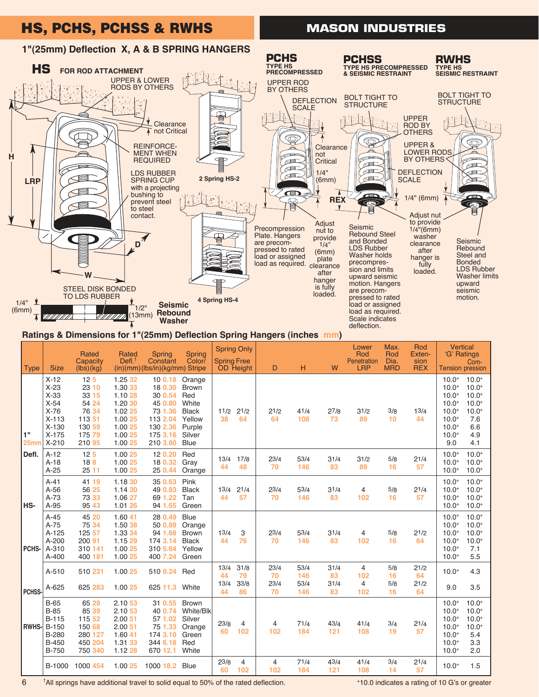# HS, PCHS, PCHSS & RWHS

## **MASON INDUSTRIES**



#### **Ratings & Dimensions for 1"(25mm) Deflection Spring Hangers (inches mm)**

| <b>Type</b>  | <b>Size</b>                                                                                | Rated<br>Capacity<br>(lbs)(kg)                                                              | Rated<br>Defl <sup>†</sup>                                                                      | Spring<br>Constant<br>(in)(mm)(lbs/in)(kg/mm) Stripe                                               | <b>Spring</b><br>Color/                                                                             | <b>Spring Free</b>       | <b>Spring Only</b><br>OD Height | D                             | н                          | W                        | Lower<br>Rod<br>Penetration<br><b>LRP</b>      | Max.<br>Rod<br>Dia.<br><b>MRD</b> | Rod<br>Exten-<br>sion<br><b>REX</b> | <b>Vertical</b><br>'G' Ratings<br>Com-<br><b>Tension pression</b>                                                                                                                                                     |
|--------------|--------------------------------------------------------------------------------------------|---------------------------------------------------------------------------------------------|-------------------------------------------------------------------------------------------------|----------------------------------------------------------------------------------------------------|-----------------------------------------------------------------------------------------------------|--------------------------|---------------------------------|-------------------------------|----------------------------|--------------------------|------------------------------------------------|-----------------------------------|-------------------------------------|-----------------------------------------------------------------------------------------------------------------------------------------------------------------------------------------------------------------------|
| 1"<br>25mm   | $X-12$<br>$X-23$<br>$X-33$<br>$X-54$<br>$X-76$<br>$X-113$<br>$X-130$<br>$X-175$<br>$X-210$ | 12 <sub>5</sub><br>23 10<br>33 15<br>54 24<br>76 34<br>113 51<br>130 59<br>175 79<br>210 95 | 1.25 32<br>1.30 33<br>1.10 28<br>1.20 30<br>1.02 25<br>1.00 25<br>1.00 25<br>1.00 25<br>1.00 25 | 100.18<br>18 0.30<br>30 0.54<br>45 0.80<br>73 1.36<br>113 2.04<br>130 2.36<br>175 3.16<br>210 3.80 | Orange<br><b>Brown</b><br>Red<br>White<br><b>Black</b><br>Yellow<br>Purple<br>Silver<br><b>Blue</b> | 11/2<br>38               | 21/2<br>64                      | 21/2<br>64                    | 41/4<br>108                | 27/8<br>73               | 31/2<br>89                                     | 3/8<br>10                         | 13/4<br>44                          | $10.0^{+}$<br>$10.0^{+}$<br>$10.0^{+}$<br>$10.0^{+}$<br>$10.0^{+}$<br>$10.0^{+}$<br>$10.0^{+}$<br>$10.0^{+}$<br>$10.0^{+}$<br>$10.0^{+}$<br>$10.0^{+}$<br>7.6<br>6.6<br>$10.0^{+}$<br>$10.0^{+}$<br>4.9<br>9.0<br>4.1 |
| Defl.        | $A-12$<br>$A-18$<br>$A-25$                                                                 | 12 <sub>5</sub><br>18 <sub>8</sub><br>2511                                                  | 1.00 25<br>1.00 25<br>1.00 25                                                                   | 12 0.20<br>18 0.32<br>25 0.44                                                                      | Red<br>Gray<br>Orange                                                                               | 13/4<br>44               | 17/8<br>48                      | 23/4<br>70                    | 53/4<br>146                | 31/4<br>83               | 31/2<br>89                                     | 5/8<br>16                         | 21/4<br>57                          | $10.0^{+}$<br>$10.0*$<br>$10.0^{+}$<br>$10.0^{+}$<br>$10.0*$<br>$10.0^{+}$                                                                                                                                            |
| <b>HS-</b>   | $A-41$<br>$A-56$<br>$A-73$<br>A-95                                                         | 41 19<br>56 25<br>73 33<br>95 43                                                            | 1.1830<br>1.14 30<br>1.06 27<br>1.01 26                                                         | 35 0.63<br>49 0.83<br>69 1.22<br>94 1.65                                                           | Pink<br><b>Black</b><br>Tan<br>Green                                                                | 13/4<br>44               | 21/4<br>57                      | $2^{3/4}$<br>70               | 53/4<br>146                | 31/4<br>83               | 4<br>102                                       | 5/8<br>16                         | 21/4<br>57                          | $10.0^{+}$<br>$10.0^{+}$<br>$10.0^{+}$<br>$10.0^{+}$<br>$10.0^{+}$<br>$10.0^{+}$<br>$10.0^{+}$<br>$10.0^{+}$                                                                                                          |
| PCHS-        | $A-45$<br>$A-75$<br>A-125<br>$A-200$<br>A-310<br>$A - 400$                                 | 45 20<br>75 34<br>125 57<br>200 91<br>310 141<br>400 181                                    | 1.60 41<br>1.50 38<br>1.33 34<br>1.15 29<br>1.00 25<br>1.00 25                                  | 28 0.49<br>50 0.89<br>94 1.68<br>174 3.14<br>310 5.64<br>400 7.24                                  | <b>Blue</b><br>Orange<br><b>Brown</b><br><b>Black</b><br>Yellow<br>Green                            | 13/4<br>44               | 3<br>76                         | 23/4<br>70                    | 53/4<br>146                | 31/4<br>83               | $\overline{4}$<br>102                          | 5/8<br>16                         | 21/2<br>64                          | $10.0^{+}$<br>$10.0^{+}$<br>$10.0^{+}$<br>$10.0^{+}$<br>$10.0*$<br>$10.0^{+}$<br>$10.0*$<br>$10.0^{+}$<br>$10.0*$<br>7.1<br>5.5<br>$10.0^{+}$                                                                         |
| PCHSS-       | A-510<br>A-625                                                                             | 510 231<br>625 283                                                                          | 1.00 25<br>1.00 25                                                                              | 510 9.24<br>625 11.3 White                                                                         | Red                                                                                                 | 13/4<br>44<br>13/4<br>44 | 31/8<br>79<br>33/8<br>86        | 23/4<br>70<br>$2^{3/4}$<br>70 | 53/4<br>146<br>53/4<br>146 | 31/4<br>83<br>31/4<br>83 | $\overline{4}$<br>102<br>$\overline{4}$<br>102 | 5/8<br>16<br>5/8<br>16            | 21/2<br>64<br>21/2<br>64            | $10.0^{+}$<br>4.3<br>9.0<br>3.5                                                                                                                                                                                       |
| <b>RWHS-</b> | $B-65$<br>$B-85$<br><b>B-115</b><br>$B-150$<br>B-280<br><b>B-450</b><br><b>B-750</b>       | 65 29<br>85 39<br>115 52<br>150 68<br>280 127<br>450 204<br>750 340                         | 2.1053<br>2.1053<br>2.00 51<br>2.0051<br>1.60 41<br>1.31 33<br>1.12 28                          | 31 0.55<br>40 0.74<br>57 1.02<br>75 1.33<br>174 3.10<br>344 6.18<br>670 12.1                       | <b>Brown</b><br>White/Blk<br>Silver<br>Orange<br>Green<br>Red<br>White                              | 23/8<br>60               | $\overline{4}$<br>102           | 4<br>102                      | 71/4<br>184                | 43/4<br>121              | 41/4<br>108                                    | 3/4<br>19                         | 21/4<br>57                          | $10.0^{+}$<br>$10.0^{+}$<br>$10.0^{+}$<br>$10.0^{+}$<br>$10.0^{+}$<br>$10.0^{+}$<br>$10.0^{+}$<br>$10.0^{+}$<br>$10.0^{+}$<br>5.4<br>$10.0^{+}$<br>3.3<br>$10.0^{+}$<br>2.0                                           |
|              | B-1000                                                                                     | 1000 454                                                                                    | 1.00 25                                                                                         | 1000 18.2                                                                                          | <b>Blue</b>                                                                                         | 23/8<br>60               | $\overline{4}$<br>102           | 4<br>102                      | 71/4<br>184                | 43/4<br>121              | 41/4<br>108                                    | 3/4<br>14                         | 21/4<br>57                          | $10.0^{+}$<br>1.5                                                                                                                                                                                                     |

<sup>†</sup>All springs have additional travel to solid equal to 50% of the rated deflection.

6

;10.0 indicates a rating of 10 G's or greater